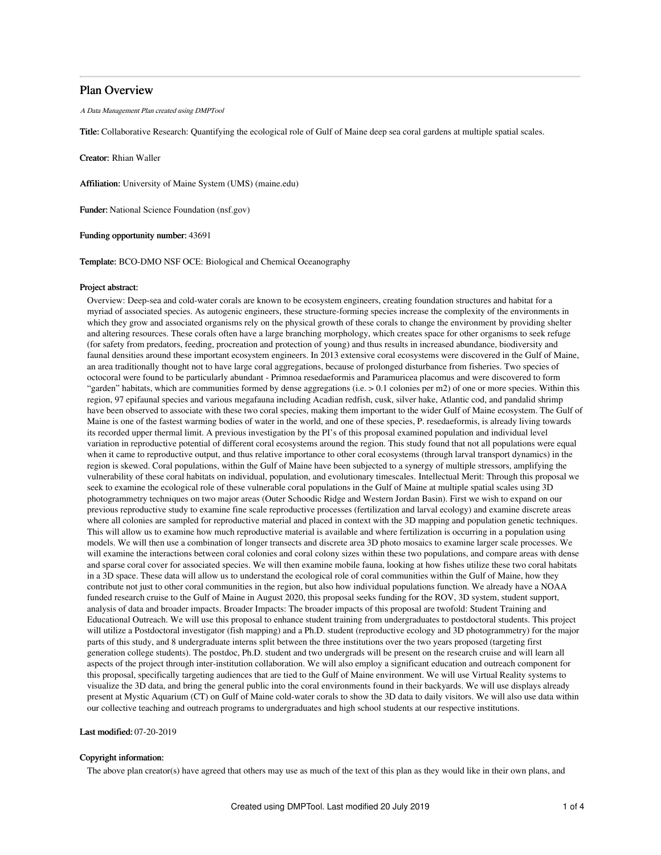## Plan Overview

A Data Management Plan created using DMPTool

Title: Collaborative Research: Quantifying the ecological role of Gulf of Maine deep sea coral gardens at multiple spatial scales.

Creator: Rhian Waller

Affiliation: University of Maine System (UMS) (maine.edu)

Funder: National Science Foundation (nsf.gov)

Funding opportunity number: 43691

Template: BCO-DMO NSF OCE: Biological and Chemical Oceanography

## Project abstract:

Overview: Deep-sea and cold-water corals are known to be ecosystem engineers, creating foundation structures and habitat for a myriad of associated species. As autogenic engineers, these structure-forming species increase the complexity of the environments in which they grow and associated organisms rely on the physical growth of these corals to change the environment by providing shelter and altering resources. These corals often have a large branching morphology, which creates space for other organisms to seek refuge (for safety from predators, feeding, procreation and protection of young) and thus results in increased abundance, biodiversity and faunal densities around these important ecosystem engineers. In 2013 extensive coral ecosystems were discovered in the Gulf of Maine, an area traditionally thought not to have large coral aggregations, because of prolonged disturbance from fisheries. Two species of octocoral were found to be particularly abundant - Primnoa resedaeformis and Paramuricea placomus and were discovered to form "garden" habitats, which are communities formed by dense aggregations (i.e. > 0.1 colonies per m2) of one or more species. Within this region, 97 epifaunal species and various megafauna including Acadian redfish, cusk, silver hake, Atlantic cod, and pandalid shrimp have been observed to associate with these two coral species, making them important to the wider Gulf of Maine ecosystem. The Gulf of Maine is one of the fastest warming bodies of water in the world, and one of these species, P. resedaeformis, is already living towards its recorded upper thermal limit. A previous investigation by the PI's of this proposal examined population and individual level variation in reproductive potential of different coral ecosystems around the region. This study found that not all populations were equal when it came to reproductive output, and thus relative importance to other coral ecosystems (through larval transport dynamics) in the region is skewed. Coral populations, within the Gulf of Maine have been subjected to a synergy of multiple stressors, amplifying the vulnerability of these coral habitats on individual, population, and evolutionary timescales. Intellectual Merit: Through this proposal we seek to examine the ecological role of these vulnerable coral populations in the Gulf of Maine at multiple spatial scales using 3D photogrammetry techniques on two major areas (Outer Schoodic Ridge and Western Jordan Basin). First we wish to expand on our previous reproductive study to examine fine scale reproductive processes (fertilization and larval ecology) and examine discrete areas where all colonies are sampled for reproductive material and placed in context with the 3D mapping and population genetic techniques. This will allow us to examine how much reproductive material is available and where fertilization is occurring in a population using models. We will then use a combination of longer transects and discrete area 3D photo mosaics to examine larger scale processes. We will examine the interactions between coral colonies and coral colony sizes within these two populations, and compare areas with dense and sparse coral cover for associated species. We will then examine mobile fauna, looking at how fishes utilize these two coral habitats in a 3D space. These data will allow us to understand the ecological role of coral communities within the Gulf of Maine, how they contribute not just to other coral communities in the region, but also how individual populations function. We already have a NOAA funded research cruise to the Gulf of Maine in August 2020, this proposal seeks funding for the ROV, 3D system, student support, analysis of data and broader impacts. Broader Impacts: The broader impacts of this proposal are twofold: Student Training and Educational Outreach. We will use this proposal to enhance student training from undergraduates to postdoctoral students. This project will utilize a Postdoctoral investigator (fish mapping) and a Ph.D. student (reproductive ecology and 3D photogrammetry) for the major parts of this study, and 8 undergraduate interns split between the three institutions over the two years proposed (targeting first generation college students). The postdoc, Ph.D. student and two undergrads will be present on the research cruise and will learn all aspects of the project through inter-institution collaboration. We will also employ a significant education and outreach component for this proposal, specifically targeting audiences that are tied to the Gulf of Maine environment. We will use Virtual Reality systems to visualize the 3D data, and bring the general public into the coral environments found in their backyards. We will use displays already present at Mystic Aquarium (CT) on Gulf of Maine cold-water corals to show the 3D data to daily visitors. We will also use data within our collective teaching and outreach programs to undergraduates and high school students at our respective institutions.

## Last modified: 07-20-2019

## Copyright information:

The above plan creator(s) have agreed that others may use as much of the text of this plan as they would like in their own plans, and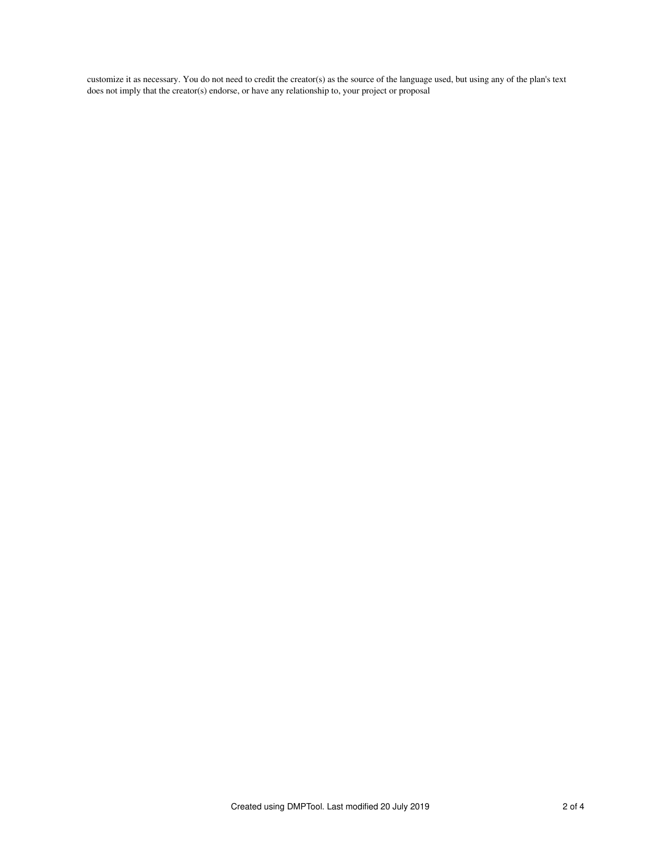customize it as necessary. You do not need to credit the creator(s) as the source of the language used, but using any of the plan's text does not imply that the creator(s) endorse, or have any relationship to, your project or proposal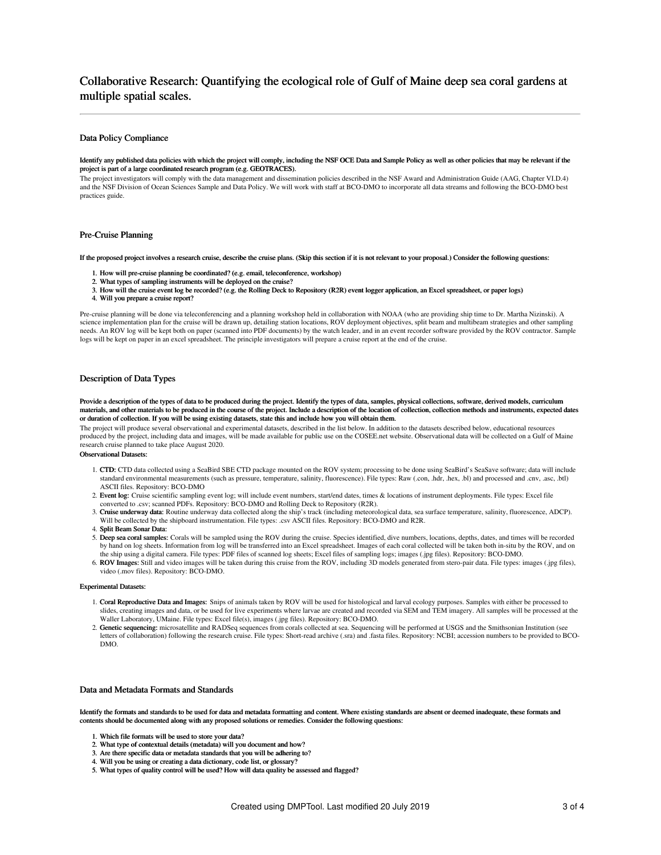# Collaborative Research: Quantifying the ecological role of Gulf of Maine deep sea coral gardens at multiple spatial scales.

## Data Policy Compliance

#### Identify any published data policies with which the project will comply, including the NSF OCE Data and Sample Policy as well as other policies that may be relevant if the project is part of a large coordinated research program (e.g. GEOTRACES).

The project investigators will comply with the data management and dissemination policies described in the NSF Award and Administration Guide (AAG, Chapter VI.D.4) and the NSF Division of Ocean Sciences Sample and Data Policy. We will work with staff at BCO-DMO to incorporate all data streams and following the BCO-DMO best practices guide.

#### Pre-Cruise Planning

If the proposed project involves a research cruise, describe the cruise plans. (Skip this section if it is not relevant to your proposal.) Consider the following questions:

- 1. How will pre-cruise planning be coordinated? (e.g. email, teleconference, workshop)
- 2. What types of sampling instruments will be deployed on the cruise?
- 3. How will the cruise event log be recorded? (e.g. the Rolling Deck to Repository (R2R) event logger application, an Excel spreadsheet, or paper logs)
- 4. Will you prepare a cruise report?

Pre-cruise planning will be done via teleconferencing and a planning workshop held in collaboration with NOAA (who are providing ship time to Dr. Martha Nizinski). A science implementation plan for the cruise will be drawn up, detailing station locations, ROV deployment objectives, split beam and multibeam strategies and other sampling needs. An ROV log will be kept both on paper (scanned into PDF documents) by the watch leader, and in an event recorder software provided by the ROV contractor. Sample logs will be kept on paper in an excel spreadsheet. The principle investigators will prepare a cruise report at the end of the cruise.

## Description of Data Types

Provide a description of the types of data to be produced during the project. Identify the types of data, samples, physical collections, software, derived models, curriculum materials, and other materials to be produced in the course of the project. Include a description of the location of collection, collection methods and instruments, expected dates or duration of collection. If you will be using existing datasets, state this and include how you will obtain them.

The project will produce several observational and experimental datasets, described in the list below. In addition to the datasets described below, educational resources produced by the project, including data and images, will be made available for public use on the COSEE.net website. Observational data will be collected on a Gulf of Maine research cruise planned to take place August 2020.

## Observational Datasets:

- 1. CTD: CTD data collected using a SeaBird SBE CTD package mounted on the ROV system; processing to be done using SeaBird's SeaSave software; data will include standard environmental measurements (such as pressure, temperature, salinity, fluorescence). File types: Raw (.con, .hdr, .hex, .bl) and processed and .cnv, .asc, .btl) ASCII files. Repository: BCO-DMO
- 2. Event log: Cruise scientific sampling event log; will include event numbers, start/end dates, times & locations of instrument deployments. File types: Excel file converted to .csv; scanned PDFs. Repository: BCO-DMO and Rolling Deck to Repository (R2R).
- 3. Cruise underway data: Routine underway data collected along the ship's track (including meteorological data, sea surface temperature, salinity, fluorescence, ADCP). Will be collected by the shipboard instrumentation. File types: .csv ASCII files. Repository: BCO-DMO and R2R.
- 4. Split Beam Sonar Data:
- 5. Deep sea coral samples: Corals will be sampled using the ROV during the cruise. Species identified, dive numbers, locations, depths, dates, and times will be recorded by hand on log sheets. Information from log will be transferred into an Excel spreadsheet. Images of each coral collected will be taken both in-situ by the ROV, and on the ship using a digital camera. File types: PDF files of scanned log sheets; Excel files of sampling logs; images (.jpg files). Repository: BCO-DMO.
- 6. ROV Images: Still and video images will be taken during this cruise from the ROV, including 3D models generated from stero-pair data. File types: images (.jpg files), video (.mov files). Repository: BCO-DMO.

#### Experimental Datasets:

- 1. Coral Reproductive Data and Images: Snips of animals taken by ROV will be used for histological and larval ecology purposes. Samples with either be processed to slides, creating images and data, or be used for live experiments where larvae are created and recorded via SEM and TEM imagery. All samples will be processed at the Waller Laboratory, UMaine. File types: Excel file(s), images (.jpg files). Repository: BCO-DMO.
- 2. Genetic sequencing: microsatellite and RADSeq sequences from corals collected at sea. Sequencing will be performed at USGS and the Smithsonian Institution (see letters of collaboration) following the research cruise. File types: Short-read archive (.sra) and .fasta files. Repository: NCBI; accession numbers to be provided to BCO-DMO.

## Data and Metadata Formats and Standards

Identify the formats and standards to be used for data and metadata formatting and content. Where existing standards are absent or deemed inadequate, these formats and contents should be documented along with any proposed solutions or remedies. Consider the following questions:

- 1. Which file formats will be used to store your data?
- 2. What type of contextual details (metadata) will you document and how?
- 3. Are there specific data or metadata standards that you will be adhering to?
- 
- 4. Will you be using or creating a data dictionary, code list, or glossary? 5. What types of quality control will be used? How will data quality be assessed and flagged?